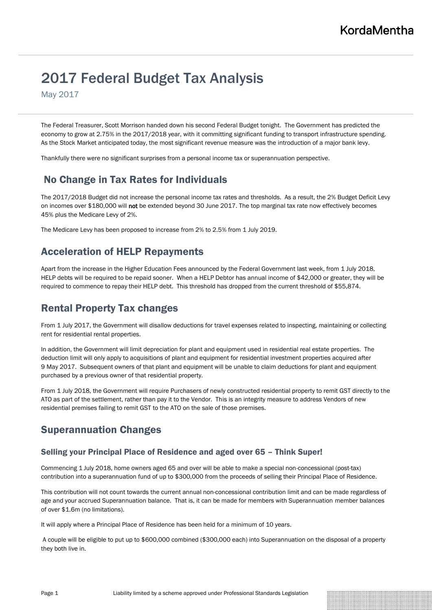# 2017 Federal Budget Tax Analysis

May 2017

The Federal Treasurer, Scott Morrison handed down his second Federal Budget tonight. The Government has predicted the economy to grow at 2.75% in the 2017/2018 year, with it committing significant funding to transport infrastructure spending. As the Stock Market anticipated today, the most significant revenue measure was the introduction of a major bank levy.

Thankfully there were no significant surprises from a personal income tax or superannuation perspective.

# No Change in Tax Rates for Individuals

The 2017/2018 Budget did not increase the personal income tax rates and thresholds. As a result, the 2% Budget Deficit Levy on incomes over \$180,000 will not be extended beyond 30 June 2017. The top marginal tax rate now effectively becomes 45% plus the Medicare Levy of 2%.

The Medicare Levy has been proposed to increase from 2% to 2.5% from 1 July 2019.

# Acceleration of HELP Repayments

Apart from the increase in the Higher Education Fees announced by the Federal Government last week, from 1 July 2018, HELP debts will be required to be repaid sooner. When a HELP Debtor has annual income of \$42,000 or greater, they will be required to commence to repay their HELP debt. This threshold has dropped from the current threshold of \$55,874.

# Rental Property Tax changes

From 1 July 2017, the Government will disallow deductions for travel expenses related to inspecting, maintaining or collecting rent for residential rental properties.

In addition, the Government will limit depreciation for plant and equipment used in residential real estate properties. The deduction limit will only apply to acquisitions of plant and equipment for residential investment properties acquired after 9 May 2017. Subsequent owners of that plant and equipment will be unable to claim deductions for plant and equipment purchased by a previous owner of that residential property.

From 1 July 2018, the Government will require Purchasers of newly constructed residential property to remit GST directly to the ATO as part of the settlement, rather than pay it to the Vendor. This is an integrity measure to address Vendors of new residential premises failing to remit GST to the ATO on the sale of those premises.

### Superannuation Changes

#### Selling your Principal Place of Residence and aged over 65 – Think Super!

Commencing 1 July 2018, home owners aged 65 and over will be able to make a special non-concessional (post-tax) contribution into a superannuation fund of up to \$300,000 from the proceeds of selling their Principal Place of Residence.

This contribution will not count towards the current annual non-concessional contribution limit and can be made regardless of age and your accrued Superannuation balance. That is, it can be made for members with Superannuation member balances of over \$1.6m (no limitations).

It will apply where a Principal Place of Residence has been held for a minimum of 10 years.

A couple will be eligible to put up to \$600,000 combined (\$300,000 each) into Superannuation on the disposal of a property they both live in.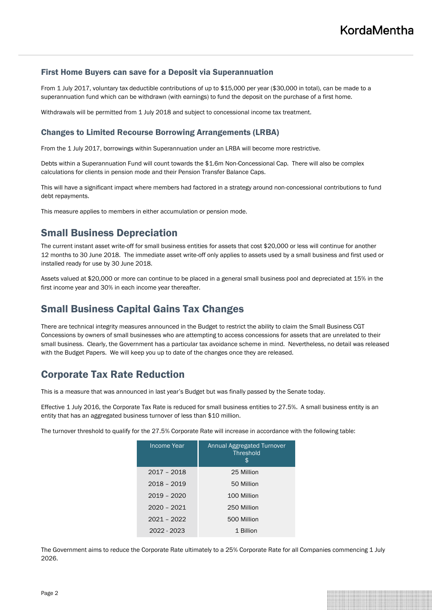#### First Home Buyers can save for a Deposit via Superannuation

From 1 July 2017, voluntary tax deductible contributions of up to \$15,000 per year (\$30,000 in total), can be made to a superannuation fund which can be withdrawn (with earnings) to fund the deposit on the purchase of a first home.

Withdrawals will be permitted from 1 July 2018 and subject to concessional income tax treatment.

#### Changes to Limited Recourse Borrowing Arrangements (LRBA)

From the 1 July 2017, borrowings within Superannuation under an LRBA will become more restrictive.

Debts within a Superannuation Fund will count towards the \$1.6m Non-Concessional Cap. There will also be complex calculations for clients in pension mode and their Pension Transfer Balance Caps.

This will have a significant impact where members had factored in a strategy around non-concessional contributions to fund debt repayments.

This measure applies to members in either accumulation or pension mode.

### Small Business Depreciation

The current instant asset write-off for small business entities for assets that cost \$20,000 or less will continue for another 12 months to 30 June 2018. The immediate asset write-off only applies to assets used by a small business and first used or installed ready for use by 30 June 2018.

Assets valued at \$20,000 or more can continue to be placed in a general small business pool and depreciated at 15% in the first income year and 30% in each income year thereafter.

### Small Business Capital Gains Tax Changes

There are technical integrity measures announced in the Budget to restrict the ability to claim the Small Business CGT Concessions by owners of small businesses who are attempting to access concessions for assets that are unrelated to their small business. Clearly, the Government has a particular tax avoidance scheme in mind. Nevertheless, no detail was released with the Budget Papers. We will keep you up to date of the changes once they are released.

### Corporate Tax Rate Reduction

This is a measure that was announced in last year's Budget but was finally passed by the Senate today.

Effective 1 July 2016, the Corporate Tax Rate is reduced for small business entities to 27.5%. A small business entity is an entity that has an aggregated business turnover of less than \$10 million.

The turnover threshold to qualify for the 27.5% Corporate Rate will increase in accordance with the following table:

| Income Year   | <b>Annual Aggregated Turnover</b><br><b>Threshold</b><br>S |
|---------------|------------------------------------------------------------|
| 2017 - 2018   | 25 Million                                                 |
| 2018 - 2019   | 50 Million                                                 |
| $2019 - 2020$ | 100 Million                                                |
| 2020 - 2021   | 250 Million                                                |
| 2021 - 2022   | 500 Million                                                |
| 2022 - 2023   | 1 Billion                                                  |

The Government aims to reduce the Corporate Rate ultimately to a 25% Corporate Rate for all Companies commencing 1 July 2026.